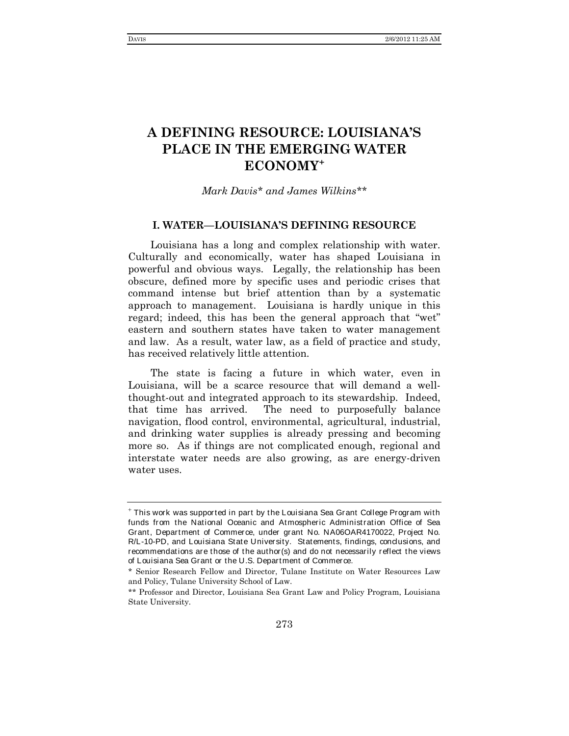# **A DEFINING RESOURCE: LOUISIANA'S PLACE IN THE EMERGING WATER ECONOMY**[+](#page-0-0)

# *Mark Davi[s\\*](#page-0-1) and James Wilkins[\\*\\*](#page-0-2)*

## **I. WATER—LOUISIANA'S DEFINING RESOURCE**

Louisiana has a long and complex relationship with water. Culturally and economically, water has shaped Louisiana in powerful and obvious ways. Legally, the relationship has been obscure, defined more by specific uses and periodic crises that command intense but brief attention than by a systematic approach to management. Louisiana is hardly unique in this regard; indeed, this has been the general approach that "wet" eastern and southern states have taken to water management and law. As a result, water law, as a field of practice and study, has received relatively little attention.

The state is facing a future in which water, even in Louisiana, will be a scarce resource that will demand a wellthought-out and integrated approach to its stewardship. Indeed, that time has arrived. The need to purposefully balance navigation, flood control, environmental, agricultural, industrial, and drinking water supplies is already pressing and becoming more so. As if things are not complicated enough, regional and interstate water needs are also growing, as are energy-driven water uses.

<span id="page-0-0"></span><sup>+</sup> This work was supported in part by the Louisiana Sea Grant College Program with funds from the National Oceanic and Atmospheric Administration Office of Sea Grant, Department of Commerce, under grant No. NA06OAR4170022, Project No. R/L-10-PD, and Louisiana State University. Statements, findings, conclusions, and recommendations are those of the author(s) and do not necessarily reflect the views of Louisiana Sea Grant or the U.S. Department of Commerce.

<span id="page-0-1"></span><sup>\*</sup> Senior Research Fellow and Director, Tulane Institute on Water Resources Law and Policy, Tulane University School of Law.

<span id="page-0-2"></span><sup>\*\*</sup> Professor and Director, Louisiana Sea Grant Law and Policy Program, Louisiana State University*.*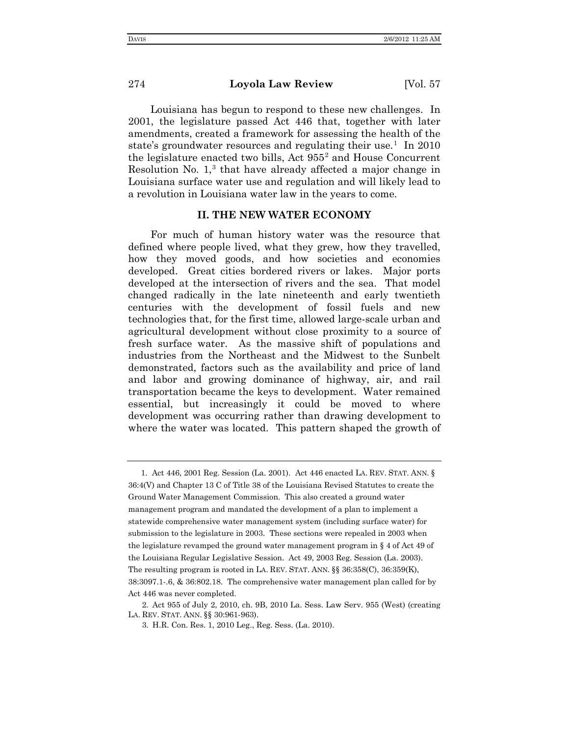Louisiana has begun to respond to these new challenges. In 2001, the legislature passed Act 446 that, together with later amendments, created a framework for assessing the health of the state's groundwater resources and regulating their use.<sup>[1](#page-1-0)</sup> In 2010 the legislature enacted two bills, Act  $955<sup>2</sup>$  $955<sup>2</sup>$  $955<sup>2</sup>$  and House Concurrent Resolution No. 1, [3](#page-1-2) that have already affected a major change in Louisiana surface water use and regulation and will likely lead to a revolution in Louisiana water law in the years to come.

## **II. THE NEW WATER ECONOMY**

For much of human history water was the resource that defined where people lived, what they grew, how they travelled, how they moved goods, and how societies and economies developed. Great cities bordered rivers or lakes. Major ports developed at the intersection of rivers and the sea. That model changed radically in the late nineteenth and early twentieth centuries with the development of fossil fuels and new technologies that, for the first time, allowed large-scale urban and agricultural development without close proximity to a source of fresh surface water. As the massive shift of populations and industries from the Northeast and the Midwest to the Sunbelt demonstrated, factors such as the availability and price of land and labor and growing dominance of highway, air, and rail transportation became the keys to development. Water remained essential, but increasingly it could be moved to where development was occurring rather than drawing development to where the water was located. This pattern shaped the growth of

<span id="page-1-0"></span><sup>1.</sup> Act 446, 2001 Reg. Session (La. 2001). Act 446 enacted LA. REV. STAT. ANN. § 36:4(V) and Chapter 13 C of Title 38 of the Louisiana Revised Statutes to create the Ground Water Management Commission. This also created a ground water management program and mandated the development of a plan to implement a statewide comprehensive water management system (including surface water) for submission to the legislature in 2003. These sections were repealed in 2003 when the legislature revamped the ground water management program in § 4 of Act 49 of the Louisiana Regular Legislative Session. Act 49, 2003 Reg. Session (La. 2003). The resulting program is rooted in LA. REV. STAT. ANN. §§ 36:358(C), 36:359(K), 38:3097.1-.6, & 36:802.18. The comprehensive water management plan called for by Act 446 was never completed.

<span id="page-1-2"></span><span id="page-1-1"></span><sup>2.</sup> Act 955 of July 2, 2010, ch. 9B, 2010 La. Sess. Law Serv. 955 (West) (creating LA. REV. STAT. ANN. §§ 30:961-963).

<sup>3.</sup> H.R. Con. Res. 1, 2010 Leg., Reg. Sess. (La. 2010).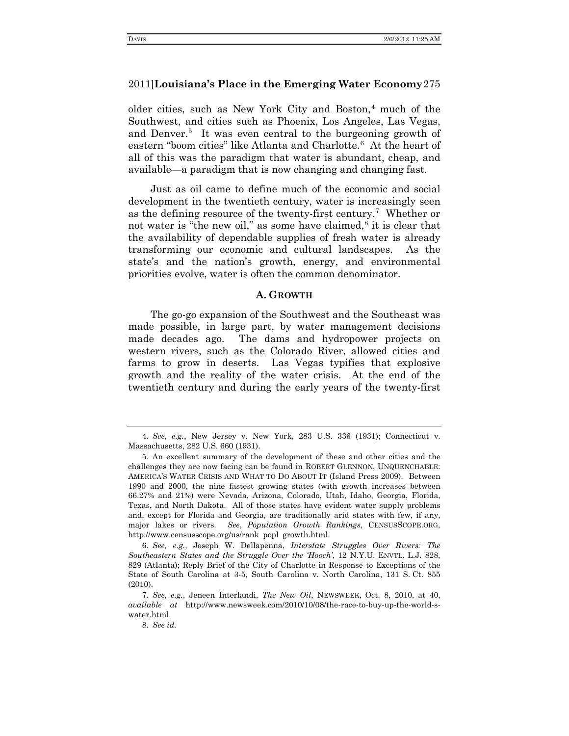older cities, such as New York City and Boston, [4](#page-2-0) much of the Southwest, and cities such as Phoenix, Los Angeles, Las Vegas, and Denver.<sup>[5](#page-2-1)</sup> It was even central to the burgeoning growth of eastern "boom cities" like Atlanta and Charlotte.<sup>[6](#page-2-2)</sup> At the heart of all of this was the paradigm that water is abundant, cheap, and available—a paradigm that is now changing and changing fast.

Just as oil came to define much of the economic and social development in the twentieth century, water is increasingly seen as the defining resource of the twenty-first century.[7](#page-2-3) Whether or not water is "the new oil," as some have claimed, [8](#page-2-4) it is clear that the availability of dependable supplies of fresh water is already transforming our economic and cultural landscapes. As the state's and the nation's growth, energy, and environmental priorities evolve, water is often the common denominator.

#### **A. GROWTH**

The go-go expansion of the Southwest and the Southeast was made possible, in large part, by water management decisions made decades ago. The dams and hydropower projects on western rivers, such as the Colorado River, allowed cities and farms to grow in deserts. Las Vegas typifies that explosive growth and the reality of the water crisis. At the end of the twentieth century and during the early years of the twenty-first

<span id="page-2-2"></span>6. *See, e.g.*, Joseph W. Dellapenna, *Interstate Struggles Over Rivers: The Southeastern States and the Struggle Over the 'Hooch'*, 12 N.Y.U. ENVTL. L.J. 828, 829 (Atlanta); Reply Brief of the City of Charlotte in Response to Exceptions of the State of South Carolina at 3-5, South Carolina v. North Carolina, 131 S. Ct. 855 (2010).

<span id="page-2-0"></span><sup>4.</sup> *See, e.g.*, New Jersey v. New York, 283 U.S. 336 (1931); Connecticut v. Massachusetts, 282 U.S. 660 (1931).

<span id="page-2-1"></span><sup>5.</sup> An excellent summary of the development of these and other cities and the challenges they are now facing can be found in ROBERT GLENNON, UNQUENCHABLE: AMERICA'S WATER CRISIS AND WHAT TO DO ABOUT IT (Island Press 2009). Between 1990 and 2000, the nine fastest growing states (with growth increases between 66.27% and 21%) were Nevada, Arizona, Colorado, Utah, Idaho, Georgia, Florida, Texas, and North Dakota. All of those states have evident water supply problems and, except for Florida and Georgia, are traditionally arid states with few, if any, major lakes or rivers. *See*, *Population Growth Rankings*, CENSUSSCOPE.ORG, http://www.censusscope.org/us/rank\_popl\_growth.html.

<span id="page-2-4"></span><span id="page-2-3"></span><sup>7.</sup> *See, e.g.*, Jeneen Interlandi, *The New Oil*, NEWSWEEK, Oct. 8, 2010, at 40, *available at* http://www.newsweek.com/2010/10/08/the-race-to-buy-up-the-world-swater.html.

<sup>8.</sup> *See id.*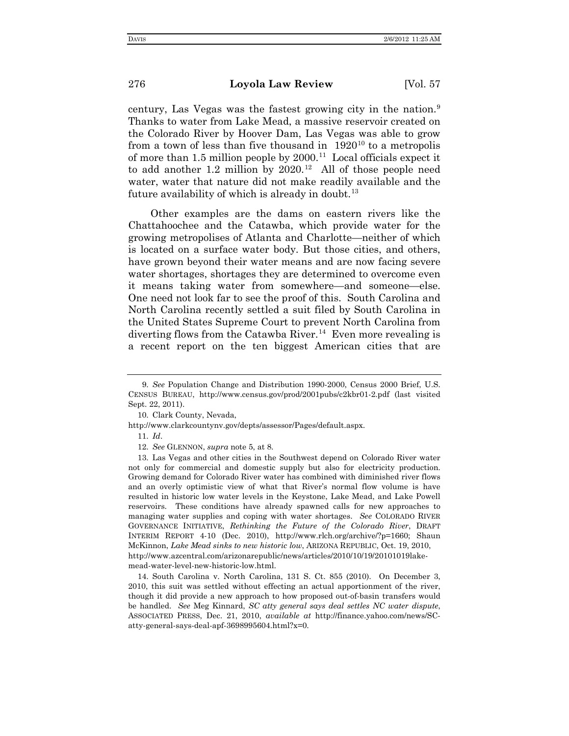century, Las Vegas was the fastest growing city in the nation. [9](#page-3-0) Thanks to water from Lake Mead, a massive reservoir created on the Colorado River by Hoover Dam, Las Vegas was able to grow from a town of less than five thousand in  $1920^{10}$  $1920^{10}$  $1920^{10}$  to a metropolis of more than 1.5 million people by  $2000$ .<sup>[11](#page-3-2)</sup> Local officials expect it to add another 1.2 million by  $2020$ .<sup>12</sup> All of those people need water, water that nature did not make readily available and the future availability of which is already in doubt. $^{13}$  $^{13}$  $^{13}$ 

Other examples are the dams on eastern rivers like the Chattahoochee and the Catawba, which provide water for the growing metropolises of Atlanta and Charlotte—neither of which is located on a surface water body. But those cities, and others, have grown beyond their water means and are now facing severe water shortages, shortages they are determined to overcome even it means taking water from somewhere—and someone—else. One need not look far to see the proof of this. South Carolina and North Carolina recently settled a suit filed by South Carolina in the United States Supreme Court to prevent North Carolina from diverting flows from the Catawba River. [14](#page-3-5) Even more revealing is a recent report on the ten biggest American cities that are

<span id="page-3-5"></span>14. South Carolina v. North Carolina, 131 S. Ct. 855 (2010). On December 3, 2010, this suit was settled without effecting an actual apportionment of the river, though it did provide a new approach to how proposed out-of-basin transfers would be handled. *See* Meg Kinnard, *SC atty general says deal settles NC water dispute*, ASSOCIATED PRESS, Dec. 21, 2010, *available at* http://finance.yahoo.com/news/SCatty-general-says-deal-apf-3698995604.html?x=0.

<span id="page-3-0"></span><sup>9.</sup> *See* Population Change and Distribution 1990-2000, Census 2000 Brief, U.S. CENSUS BUREAU, http://www.census.gov/prod/2001pubs/c2kbr01-2.pdf (last visited Sept. 22, 2011).

<sup>10.</sup> Clark County, Nevada,

<span id="page-3-2"></span><span id="page-3-1"></span>http://www.clarkcountynv.gov/depts/assessor/Pages/default.aspx.

<sup>11.</sup> *Id*.

<sup>12.</sup> *See* GLENNON, *supra* note 5, at 8.

<span id="page-3-4"></span><span id="page-3-3"></span><sup>13.</sup> Las Vegas and other cities in the Southwest depend on Colorado River water not only for commercial and domestic supply but also for electricity production. Growing demand for Colorado River water has combined with diminished river flows and an overly optimistic view of what that River's normal flow volume is have resulted in historic low water levels in the Keystone, Lake Mead, and Lake Powell reservoirs. These conditions have already spawned calls for new approaches to managing water supplies and coping with water shortages. *See* COLORADO RIVER GOVERNANCE INITIATIVE, *Rethinking the Future of the Colorado River*, DRAFT INTERIM REPORT 4-10 (Dec. 2010), http://www.rlch.org/archive/?p=1660; Shaun McKinnon, *Lake Mead sinks to new historic low*, ARIZONA REPUBLIC, Oct. 19, 2010, http://www.azcentral.com/arizonarepublic/news/articles/2010/10/19/20101019lakemead-water-level-new-historic-low.html.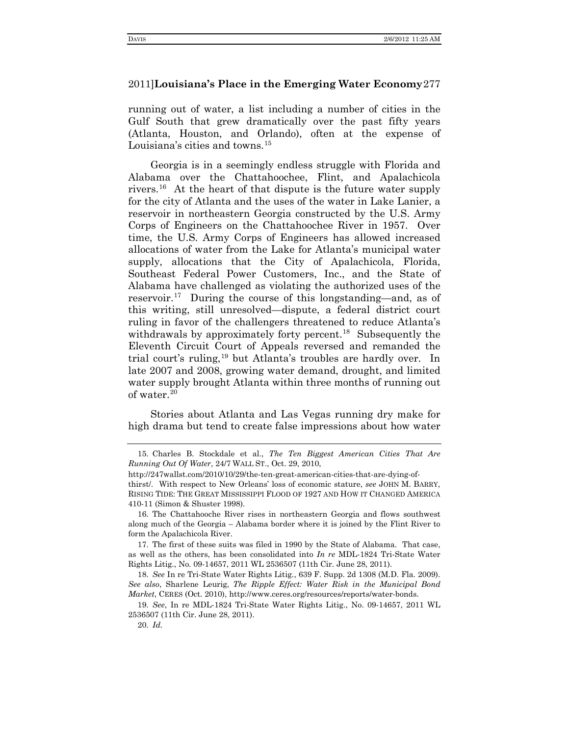running out of water, a list including a number of cities in the Gulf South that grew dramatically over the past fifty years (Atlanta, Houston, and Orlando), often at the expense of Louisiana's cities and towns.<sup>[15](#page-4-0)</sup>

Georgia is in a seemingly endless struggle with Florida and Alabama over the Chattahoochee, Flint, and Apalachicola rivers. [16](#page-4-1) At the heart of that dispute is the future water supply for the city of Atlanta and the uses of the water in Lake Lanier, a reservoir in northeastern Georgia constructed by the U.S. Army Corps of Engineers on the Chattahoochee River in 1957. Over time, the U.S. Army Corps of Engineers has allowed increased allocations of water from the Lake for Atlanta's municipal water supply, allocations that the City of Apalachicola, Florida, Southeast Federal Power Customers, Inc., and the State of Alabama have challenged as violating the authorized uses of the reservoir.[17](#page-4-2) During the course of this longstanding—and, as of this writing, still unresolved—dispute, a federal district court ruling in favor of the challengers threatened to reduce Atlanta's withdrawals by approximately forty percent.<sup>18</sup> Subsequently the Eleventh Circuit Court of Appeals reversed and remanded the trial court's ruling, [19](#page-4-4) but Atlanta's troubles are hardly over. In late 2007 and 2008, growing water demand, drought, and limited water supply brought Atlanta within three months of running out of water.[20](#page-4-5) 

Stories about Atlanta and Las Vegas running dry make for high drama but tend to create false impressions about how water

<span id="page-4-0"></span><sup>15.</sup> Charles B. Stockdale et al., *The Ten Biggest American Cities That Are Running Out Of Water*, 24/7 WALL ST., Oct. 29, 2010,

http://247wallst.com/2010/10/29/the-ten-great-american-cities-that-are-dying-of-

thirst/. With respect to New Orleans' loss of economic stature, *see* JOHN M. BARRY, RISING TIDE: THE GREAT MISSISSIPPI FLOOD OF 1927 AND HOW IT CHANGED AMERICA 410-11 (Simon & Shuster 1998).

<span id="page-4-1"></span><sup>16.</sup> The Chattahooche River rises in northeastern Georgia and flows southwest along much of the Georgia – Alabama border where it is joined by the Flint River to form the Apalachicola River.

<span id="page-4-2"></span><sup>17.</sup> The first of these suits was filed in 1990 by the State of Alabama. That case, as well as the others, has been consolidated into *In re* MDL-1824 Tri-State Water Rights Litig., No. 09-14657, 2011 WL 2536507 (11th Cir. June 28, 2011).

<span id="page-4-3"></span><sup>18.</sup> *See* In re Tri-State Water Rights Litig., 639 F. Supp. 2d 1308 (M.D. Fla. 2009). *See also*, Sharlene Leurig, *The Ripple Effect: Water Risk in the Municipal Bond Market*, CERES (Oct. 2010), http://www.ceres.org/resources/reports/water-bonds.

<span id="page-4-5"></span><span id="page-4-4"></span><sup>19.</sup> *See*, In re MDL-1824 Tri-State Water Rights Litig., No. 09-14657, 2011 WL 2536507 (11th Cir. June 28, 2011).

<sup>20.</sup> *Id.*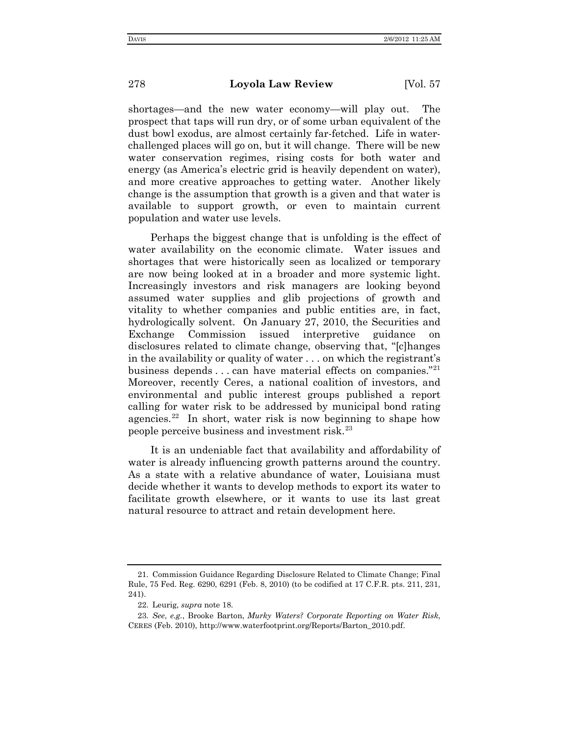shortages—and the new water economy—will play out. The prospect that taps will run dry, or of some urban equivalent of the dust bowl exodus, are almost certainly far-fetched. Life in waterchallenged places will go on, but it will change. There will be new water conservation regimes, rising costs for both water and energy (as America's electric grid is heavily dependent on water), and more creative approaches to getting water. Another likely change is the assumption that growth is a given and that water is available to support growth, or even to maintain current population and water use levels.

Perhaps the biggest change that is unfolding is the effect of water availability on the economic climate. Water issues and shortages that were historically seen as localized or temporary are now being looked at in a broader and more systemic light. Increasingly investors and risk managers are looking beyond assumed water supplies and glib projections of growth and vitality to whether companies and public entities are, in fact, hydrologically solvent. On January 27, 2010, the Securities and Exchange Commission issued interpretive guidance on disclosures related to climate change, observing that, "[c]hanges in the availability or quality of water . . . on which the registrant's business depends  $\dots$  can have material effects on companies."<sup>[21](#page-5-0)</sup> Moreover, recently Ceres, a national coalition of investors, and environmental and public interest groups published a report calling for water risk to be addressed by municipal bond rating agencies. $22$  In short, water risk is now beginning to shape how people perceive business and investment risk.[23](#page-5-2)

It is an undeniable fact that availability and affordability of water is already influencing growth patterns around the country. As a state with a relative abundance of water, Louisiana must decide whether it wants to develop methods to export its water to facilitate growth elsewhere, or it wants to use its last great natural resource to attract and retain development here.

<span id="page-5-0"></span><sup>21.</sup> Commission Guidance Regarding Disclosure Related to Climate Change; Final Rule, 75 Fed. Reg. 6290, 6291 (Feb. 8, 2010) (to be codified at 17 C.F.R. pts. 211, 231, 241).

<sup>22.</sup> Leurig, *supra* note 18.

<span id="page-5-2"></span><span id="page-5-1"></span><sup>23.</sup> *See*, *e.g.*, Brooke Barton, *Murky Waters? Corporate Reporting on Water Risk*, CERES (Feb. 2010), http://www.waterfootprint.org/Reports/Barton\_2010.pdf.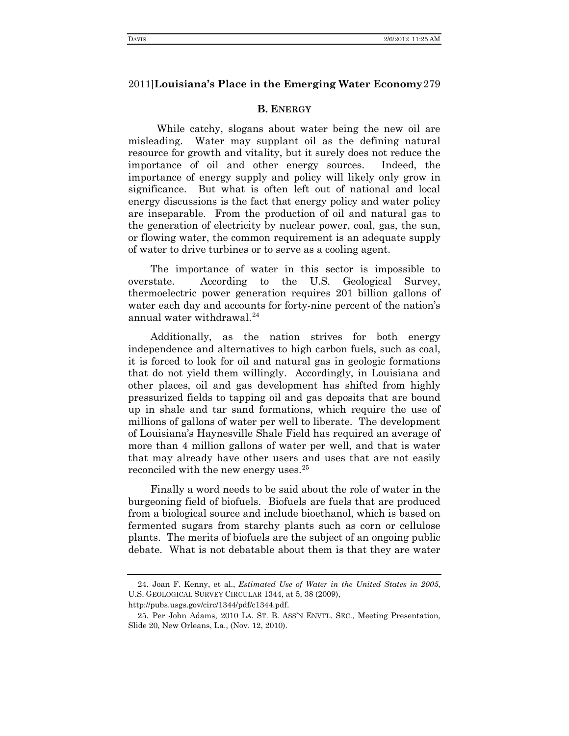#### **B. ENERGY**

While catchy, slogans about water being the new oil are misleading. Water may supplant oil as the defining natural resource for growth and vitality, but it surely does not reduce the importance of oil and other energy sources. Indeed, the importance of energy supply and policy will likely only grow in significance. But what is often left out of national and local energy discussions is the fact that energy policy and water policy are inseparable. From the production of oil and natural gas to the generation of electricity by nuclear power, coal, gas, the sun, or flowing water, the common requirement is an adequate supply of water to drive turbines or to serve as a cooling agent.

The importance of water in this sector is impossible to overstate. According to the U.S. Geological Survey, thermoelectric power generation requires 201 billion gallons of water each day and accounts for forty-nine percent of the nation's annual water withdrawal.<sup>[24](#page-6-0)</sup>

Additionally, as the nation strives for both energy independence and alternatives to high carbon fuels, such as coal, it is forced to look for oil and natural gas in geologic formations that do not yield them willingly. Accordingly, in Louisiana and other places, oil and gas development has shifted from highly pressurized fields to tapping oil and gas deposits that are bound up in shale and tar sand formations, which require the use of millions of gallons of water per well to liberate. The development of Louisiana's Haynesville Shale Field has required an average of more than 4 million gallons of water per well, and that is water that may already have other users and uses that are not easily reconciled with the new energy uses.<sup>[25](#page-6-1)</sup>

Finally a word needs to be said about the role of water in the burgeoning field of biofuels. Biofuels are fuels that are produced from a biological source and include bioethanol, which is based on fermented sugars from starchy plants such as corn or cellulose plants. The merits of biofuels are the subject of an ongoing public debate. What is not debatable about them is that they are water

<span id="page-6-0"></span><sup>24.</sup> Joan F. Kenny, et al., *Estimated Use of Water in the United States in 2005*, U.S. GEOLOGICAL SURVEY CIRCULAR 1344, at 5, 38 (2009),

http://pubs.usgs.gov/circ/1344/pdf/c1344.pdf.

<span id="page-6-1"></span><sup>25.</sup> Per John Adams, 2010 LA. ST. B. ASS'N ENVTL. SEC., Meeting Presentation, Slide 20, New Orleans, La., (Nov. 12, 2010).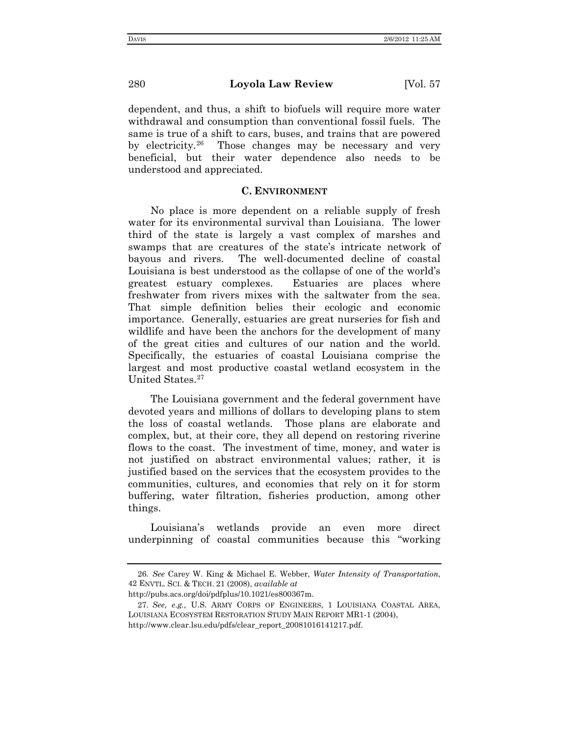dependent, and thus, a shift to biofuels will require more water withdrawal and consumption than conventional fossil fuels. The same is true of a shift to cars, buses, and trains that are powered by electricity.[26](#page-7-0) Those changes may be necessary and very beneficial, but their water dependence also needs to be understood and appreciated.

#### **C. ENVIRONMENT**

No place is more dependent on a reliable supply of fresh water for its environmental survival than Louisiana. The lower third of the state is largely a vast complex of marshes and swamps that are creatures of the state's intricate network of bayous and rivers. The well-documented decline of coastal Louisiana is best understood as the collapse of one of the world's greatest estuary complexes. Estuaries are places where freshwater from rivers mixes with the saltwater from the sea. That simple definition belies their ecologic and economic importance. Generally, estuaries are great nurseries for fish and wildlife and have been the anchors for the development of many of the great cities and cultures of our nation and the world. Specifically, the estuaries of coastal Louisiana comprise the largest and most productive coastal wetland ecosystem in the United States. [27](#page-7-1)

The Louisiana government and the federal government have devoted years and millions of dollars to developing plans to stem the loss of coastal wetlands. Those plans are elaborate and complex, but, at their core, they all depend on restoring riverine flows to the coast. The investment of time, money, and water is not justified on abstract environmental values; rather, it is justified based on the services that the ecosystem provides to the communities, cultures, and economies that rely on it for storm buffering, water filtration, fisheries production, among other things.

Louisiana's wetlands provide an even more direct underpinning of coastal communities because this "working

<span id="page-7-0"></span><sup>26.</sup> *See* Carey W. King & Michael E. Webber, *Water Intensity of Transportation*, 42 ENVTL. SCI. & TECH. 21 (2008), *available at* 

http://pubs.acs.org/doi/pdfplus/10.1021/es800367m.

<span id="page-7-1"></span><sup>27.</sup> *See, e.g.*, U.S. ARMY CORPS OF ENGINEERS, 1 LOUISIANA COASTAL AREA, LOUISIANA ECOSYSTEM RESTORATION STUDY MAIN REPORT MR1-1 (2004), http://www.clear.lsu.edu/pdfs/clear\_report\_20081016141217.pdf.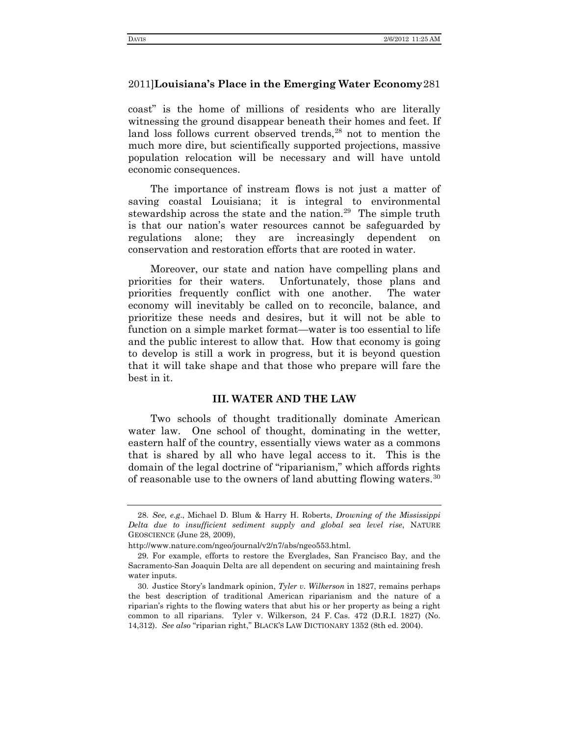coast" is the home of millions of residents who are literally witnessing the ground disappear beneath their homes and feet. If land loss follows current observed trends, [28](#page-8-0) not to mention the much more dire, but scientifically supported projections, massive population relocation will be necessary and will have untold economic consequences.

The importance of instream flows is not just a matter of saving coastal Louisiana; it is integral to environmental stewardship across the state and the nation.<sup>29</sup> The simple truth is that our nation's water resources cannot be safeguarded by regulations alone; they are increasingly dependent on conservation and restoration efforts that are rooted in water.

Moreover, our state and nation have compelling plans and priorities for their waters. Unfortunately, those plans and priorities frequently conflict with one another. The water economy will inevitably be called on to reconcile, balance, and prioritize these needs and desires, but it will not be able to function on a simple market format—water is too essential to life and the public interest to allow that. How that economy is going to develop is still a work in progress, but it is beyond question that it will take shape and that those who prepare will fare the best in it.

### **III. WATER AND THE LAW**

Two schools of thought traditionally dominate American water law. One school of thought, dominating in the wetter, eastern half of the country, essentially views water as a commons that is shared by all who have legal access to it. This is the domain of the legal doctrine of "riparianism," which affords rights of reasonable use to the owners of land abutting flowing waters. [30](#page-8-2)

<span id="page-8-0"></span><sup>28.</sup> *See, e.g*., Michael D. Blum & Harry H. Roberts, *Drowning of the Mississippi Delta due to insufficient sediment supply and global sea level rise*, NATURE GEOSCIENCE (June 28, 2009),

http://www.nature.com/ngeo/journal/v2/n7/abs/ngeo553.html.

<span id="page-8-1"></span><sup>29.</sup> For example, efforts to restore the Everglades, San Francisco Bay, and the Sacramento-San Joaquin Delta are all dependent on securing and maintaining fresh water inputs.

<span id="page-8-2"></span><sup>30.</sup> Justice Story's landmark opinion, *Tyler v. Wilkerson* in 1827, remains perhaps the best description of traditional American riparianism and the nature of a riparian's rights to the flowing waters that abut his or her property as being a right common to all riparians. Tyler v. Wilkerson, 24 F. Cas. 472 (D.R.I. 1827) (No. 14,312). *See also* "riparian right," BLACK'S LAW DICTIONARY 1352 (8th ed. 2004).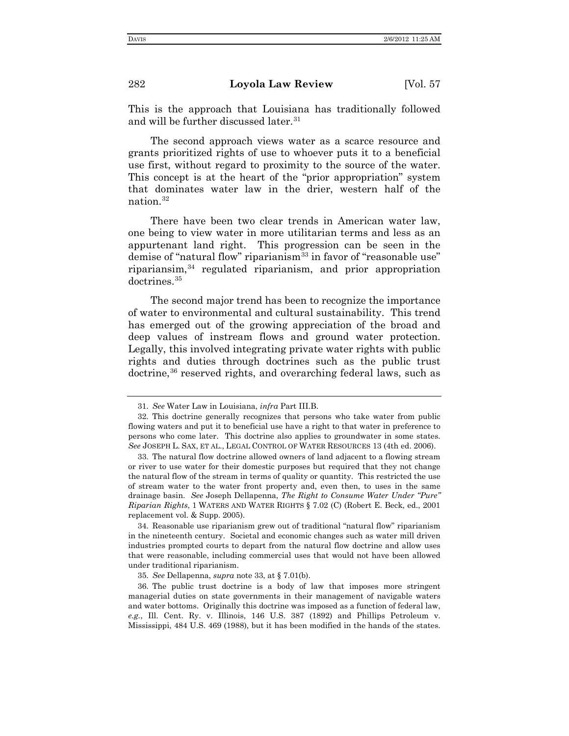This is the approach that Louisiana has traditionally followed and will be further discussed later. [31](#page-9-0)

The second approach views water as a scarce resource and grants prioritized rights of use to whoever puts it to a beneficial use first, without regard to proximity to the source of the water. This concept is at the heart of the "prior appropriation" system that dominates water law in the drier, western half of the nation.[32](#page-9-1)

There have been two clear trends in American water law, one being to view water in more utilitarian terms and less as an appurtenant land right. This progression can be seen in the demise of "natural flow" riparianism $33$  in favor of "reasonable use" ripariansim, [34](#page-9-3) regulated riparianism, and prior appropriation doctrines. [35](#page-9-4)

The second major trend has been to recognize the importance of water to environmental and cultural sustainability. This trend has emerged out of the growing appreciation of the broad and deep values of instream flows and ground water protection. Legally, this involved integrating private water rights with public rights and duties through doctrines such as the public trust doctrine,<sup>[36](#page-9-5)</sup> reserved rights, and overarching federal laws, such as

<span id="page-9-3"></span>34. Reasonable use riparianism grew out of traditional "natural flow" riparianism in the nineteenth century. Societal and economic changes such as water mill driven industries prompted courts to depart from the natural flow doctrine and allow uses that were reasonable, including commercial uses that would not have been allowed under traditional riparianism.

35. *See* Dellapenna, *supra* note 33, at § 7.01(b).

<sup>31.</sup> *See* Water Law in Louisiana, *infra* Part III.B.

<span id="page-9-1"></span><span id="page-9-0"></span><sup>32.</sup> This doctrine generally recognizes that persons who take water from public flowing waters and put it to beneficial use have a right to that water in preference to persons who come later. This doctrine also applies to groundwater in some states. *See* JOSEPH L. SAX, ET AL., LEGAL CONTROL OF WATER RESOURCES 13 (4th ed. 2006).

<span id="page-9-2"></span><sup>33.</sup> The natural flow doctrine allowed owners of land adjacent to a flowing stream or river to use water for their domestic purposes but required that they not change the natural flow of the stream in terms of quality or quantity. This restricted the use of stream water to the water front property and, even then, to uses in the same drainage basin. *See* Joseph Dellapenna, *The Right to Consume Water Under "Pure" Riparian Rights*, 1 WATERS AND WATER RIGHTS § 7.02 (C) (Robert E. Beck, ed., 2001 replacement vol. & Supp. 2005).

<span id="page-9-5"></span><span id="page-9-4"></span><sup>36.</sup> The public trust doctrine is a body of law that imposes more stringent managerial duties on state governments in their management of navigable waters and water bottoms. Originally this doctrine was imposed as a function of federal law, *e.g.*, Ill. Cent. Ry. v. Illinois, 146 U.S. 387 (1892) and Phillips Petroleum v. Mississippi, 484 U.S. 469 (1988), but it has been modified in the hands of the states.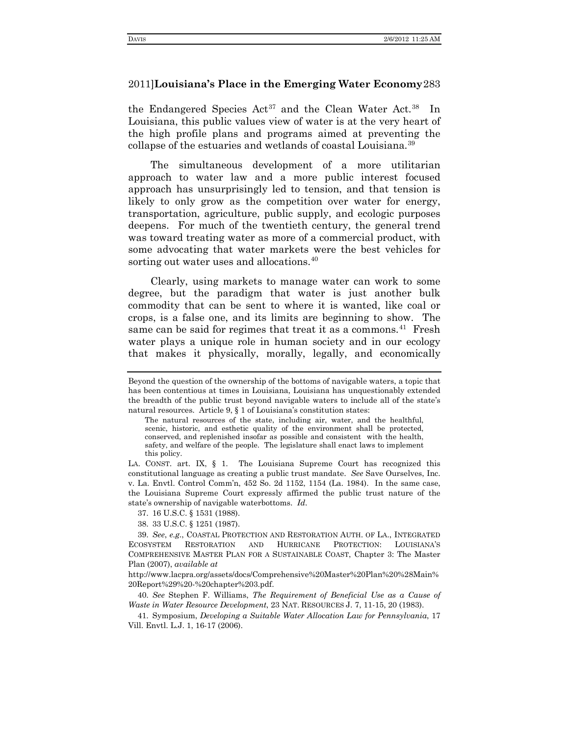the Endangered Species  $Act^{37}$  $Act^{37}$  $Act^{37}$  and the Clean Water Act.<sup>[38](#page-10-1)</sup> In Louisiana, this public values view of water is at the very heart of the high profile plans and programs aimed at preventing the collapse of the estuaries and wetlands of coastal Louisiana.<sup>[39](#page-10-2)</sup>

The simultaneous development of a more utilitarian approach to water law and a more public interest focused approach has unsurprisingly led to tension, and that tension is likely to only grow as the competition over water for energy, transportation, agriculture, public supply, and ecologic purposes deepens. For much of the twentieth century, the general trend was toward treating water as more of a commercial product, with some advocating that water markets were the best vehicles for sorting out water uses and allocations.<sup>[40](#page-10-3)</sup>

Clearly, using markets to manage water can work to some degree, but the paradigm that water is just another bulk commodity that can be sent to where it is wanted, like coal or crops, is a false one, and its limits are beginning to show. The same can be said for regimes that treat it as a commons.<sup>[41](#page-10-4)</sup> Fresh water plays a unique role in human society and in our ecology that makes it physically, morally, legally, and economically

37. 16 U.S.C. § 1531 (1988).

38. 33 U.S.C. § 1251 (1987).

http://www.lacpra.org/assets/docs/Comprehensive%20Master%20Plan%20%28Main% 20Report%29%20-%20chapter%203.pdf.

<span id="page-10-3"></span>40. *See* Stephen F. Williams, *The Requirement of Beneficial Use as a Cause of Waste in Water Resource Development*, 23 NAT. RESOURCES J. 7, 11-15, 20 (1983).

<span id="page-10-4"></span>41. Symposium, *Developing a Suitable Water Allocation Law for Pennsylvania*, 17 Vill. Envtl. L.J. 1, 16-17 (2006).

Beyond the question of the ownership of the bottoms of navigable waters, a topic that has been contentious at times in Louisiana, Louisiana has unquestionably extended the breadth of the public trust beyond navigable waters to include all of the state's natural resources. Article 9, § 1 of Louisiana's constitution states:

The natural resources of the state, including air, water, and the healthful, scenic, historic, and esthetic quality of the environment shall be protected, conserved, and replenished insofar as possible and consistent with the health, safety, and welfare of the people. The legislature shall enact laws to implement this policy.

LA. CONST. art. IX, § 1. The Louisiana Supreme Court has recognized this constitutional language as creating a public trust mandate. *See* Save Ourselves, Inc. v. La. Envtl. Control Comm'n, 452 So. 2d 1152, 1154 (La. 1984). In the same case, the Louisiana Supreme Court expressly affirmed the public trust nature of the state's ownership of navigable waterbottoms. *Id*.

<span id="page-10-2"></span><span id="page-10-1"></span><span id="page-10-0"></span><sup>39.</sup> *See*, *e.g.*, COASTAL PROTECTION AND RESTORATION AUTH. OF LA., INTEGRATED ECOSYSTEM RESTORATION AND HURRICANE PROTECTION: LOUISIANA'S COMPREHENSIVE MASTER PLAN FOR A SUSTAINABLE COAST, Chapter 3: The Master Plan (2007), *available at*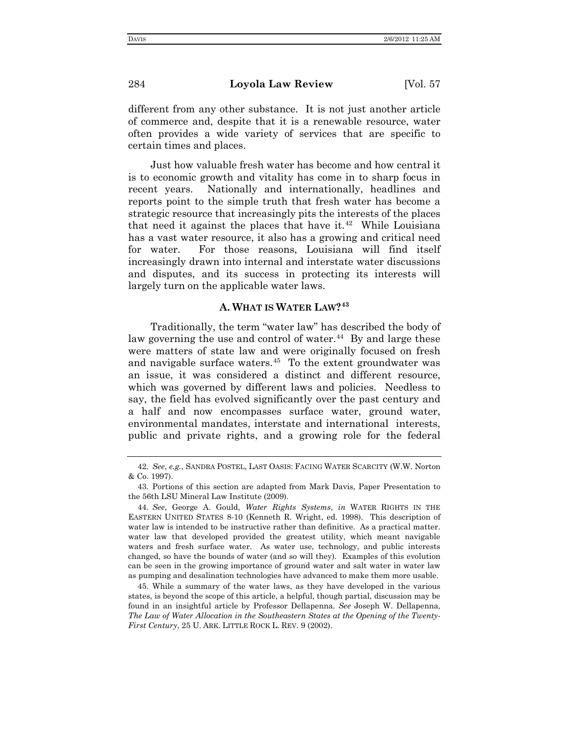different from any other substance. It is not just another article of commerce and, despite that it is a renewable resource, water often provides a wide variety of services that are specific to certain times and places.

Just how valuable fresh water has become and how central it is to economic growth and vitality has come in to sharp focus in recent years. Nationally and internationally, headlines and reports point to the simple truth that fresh water has become a strategic resource that increasingly pits the interests of the places that need it against the places that have it.<sup>[42](#page-11-0)</sup> While Louisiana has a vast water resource, it also has a growing and critical need for water. For those reasons, Louisiana will find itself increasingly drawn into internal and interstate water discussions and disputes, and its success in protecting its interests will largely turn on the applicable water laws.

# **A. WHAT IS WATER LAW?[43](#page-11-1)**

Traditionally, the term "water law" has described the body of law governing the use and control of water.<sup>44</sup> By and large these were matters of state law and were originally focused on fresh and navigable surface waters. [45](#page-11-3) To the extent groundwater was an issue, it was considered a distinct and different resource, which was governed by different laws and policies. Needless to say, the field has evolved significantly over the past century and a half and now encompasses surface water, ground water, environmental mandates, interstate and international interests, public and private rights, and a growing role for the federal

<span id="page-11-3"></span>45. While a summary of the water laws, as they have developed in the various states, is beyond the scope of this article, a helpful, though partial, discussion may be found in an insightful article by Professor Dellapenna. *See* Joseph W. Dellapenna, *The Law of Water Allocation in the Southeastern States at the Opening of the Twenty-First Century*, 25 U. ARK. LITTLE ROCK L. REV. 9 (2002).

<span id="page-11-0"></span><sup>42.</sup> *See*, *e.g.*, SANDRA POSTEL, LAST OASIS: FACING WATER SCARCITY (W.W. Norton & Co. 1997).

<span id="page-11-1"></span><sup>43.</sup> Portions of this section are adapted from Mark Davis, Paper Presentation to the 56th LSU Mineral Law Institute (2009).

<span id="page-11-2"></span><sup>44.</sup> *See*, George A. Gould, *Water Rights Systems*, *in* WATER RIGHTS IN THE EASTERN UNITED STATES 8-10 (Kenneth R. Wright, ed. 1998). This description of water law is intended to be instructive rather than definitive. As a practical matter. water law that developed provided the greatest utility, which meant navigable waters and fresh surface water. As water use, technology, and public interests changed, so have the bounds of water (and so will they). Examples of this evolution can be seen in the growing importance of ground water and salt water in water law as pumping and desalination technologies have advanced to make them more usable.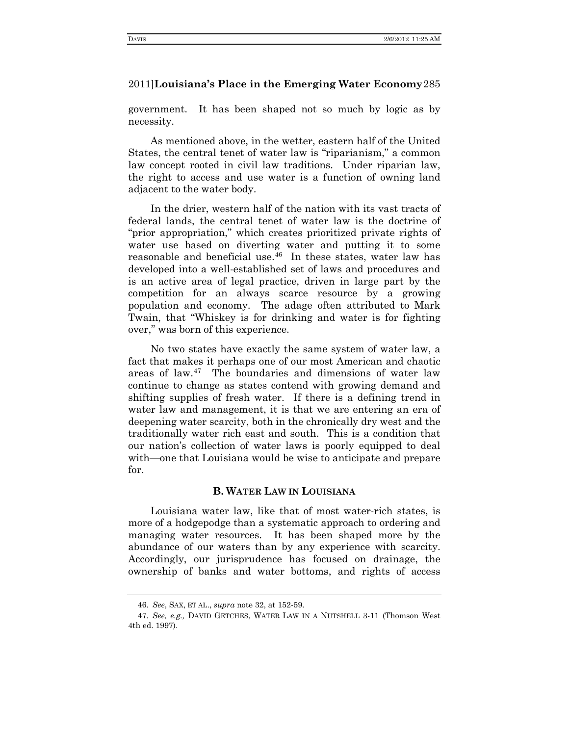government. It has been shaped not so much by logic as by necessity.

As mentioned above, in the wetter, eastern half of the United States, the central tenet of water law is "riparianism," a common law concept rooted in civil law traditions. Under riparian law, the right to access and use water is a function of owning land adjacent to the water body.

In the drier, western half of the nation with its vast tracts of federal lands, the central tenet of water law is the doctrine of "prior appropriation," which creates prioritized private rights of water use based on diverting water and putting it to some reasonable and beneficial use. [46](#page-12-0) In these states, water law has developed into a well-established set of laws and procedures and is an active area of legal practice, driven in large part by the competition for an always scarce resource by a growing population and economy. The adage often attributed to Mark Twain, that "Whiskey is for drinking and water is for fighting over," was born of this experience.

No two states have exactly the same system of water law, a fact that makes it perhaps one of our most American and chaotic areas of law. [47](#page-12-1) The boundaries and dimensions of water law continue to change as states contend with growing demand and shifting supplies of fresh water. If there is a defining trend in water law and management, it is that we are entering an era of deepening water scarcity, both in the chronically dry west and the traditionally water rich east and south. This is a condition that our nation's collection of water laws is poorly equipped to deal with—one that Louisiana would be wise to anticipate and prepare for.

## **B. WATER LAW IN LOUISIANA**

Louisiana water law, like that of most water-rich states, is more of a hodgepodge than a systematic approach to ordering and managing water resources. It has been shaped more by the abundance of our waters than by any experience with scarcity. Accordingly, our jurisprudence has focused on drainage, the ownership of banks and water bottoms, and rights of access

<sup>46.</sup> *See*, SAX, ET AL., *supra* note 32, at 152-59.

<span id="page-12-1"></span><span id="page-12-0"></span><sup>47.</sup> *See, e.g.,* DAVID GETCHES, WATER LAW IN A NUTSHELL 3-11 (Thomson West 4th ed. 1997).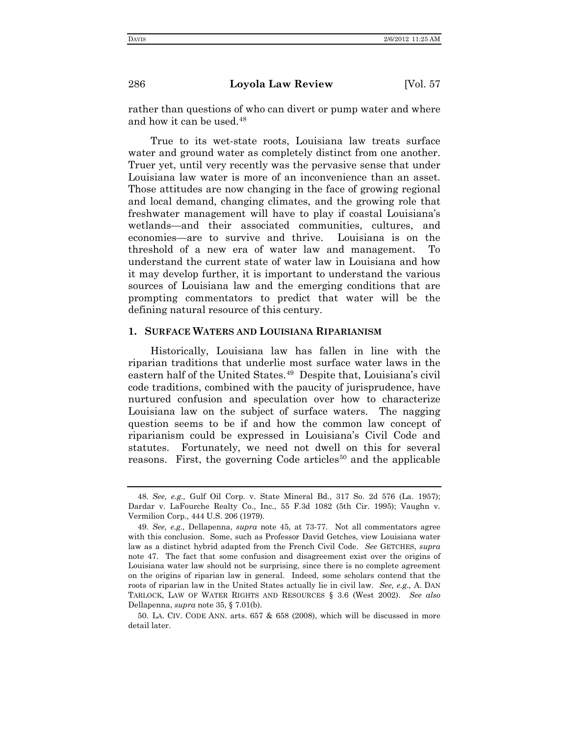rather than questions of who can divert or pump water and where and how it can be used. [48](#page-13-0)

True to its wet-state roots, Louisiana law treats surface water and ground water as completely distinct from one another. Truer yet, until very recently was the pervasive sense that under Louisiana law water is more of an inconvenience than an asset. Those attitudes are now changing in the face of growing regional and local demand, changing climates, and the growing role that freshwater management will have to play if coastal Louisiana's wetlands—and their associated communities, cultures, and economies—are to survive and thrive. Louisiana is on the threshold of a new era of water law and management. To understand the current state of water law in Louisiana and how it may develop further, it is important to understand the various sources of Louisiana law and the emerging conditions that are prompting commentators to predict that water will be the defining natural resource of this century.

### **1. SURFACE WATERS AND LOUISIANA RIPARIANISM**

Historically, Louisiana law has fallen in line with the riparian traditions that underlie most surface water laws in the eastern half of the United States. [49](#page-13-1) Despite that, Louisiana's civil code traditions, combined with the paucity of jurisprudence, have nurtured confusion and speculation over how to characterize Louisiana law on the subject of surface waters. The nagging question seems to be if and how the common law concept of riparianism could be expressed in Louisiana's Civil Code and statutes. Fortunately, we need not dwell on this for several reasons. First, the governing Code articles<sup>[50](#page-13-2)</sup> and the applicable

<span id="page-13-0"></span><sup>48.</sup> *See, e.g.,* Gulf Oil Corp. v. State Mineral Bd., 317 So. 2d 576 (La. 1957); Dardar v. LaFourche Realty Co., Inc., 55 F.3d 1082 (5th Cir. 1995); Vaughn v. Vermilion Corp., 444 U.S. 206 (1979).

<span id="page-13-1"></span><sup>49.</sup> *See, e.g.,* Dellapenna, *supra* note 45, at 73-77. Not all commentators agree with this conclusion. Some, such as Professor David Getches, view Louisiana water law as a distinct hybrid adapted from the French Civil Code. *See* GETCHES, *supra* note 47. The fact that some confusion and disagreement exist over the origins of Louisiana water law should not be surprising, since there is no complete agreement on the origins of riparian law in general. Indeed, some scholars contend that the roots of riparian law in the United States actually lie in civil law. *See, e.g.,* A. DAN TARLOCK, LAW OF WATER RIGHTS AND RESOURCES § 3.6 (West 2002). *See also* Dellapenna, *supra* note 35, § 7.01(b).

<span id="page-13-2"></span><sup>50.</sup> LA. CIV. CODE ANN. arts. 657 & 658 (2008), which will be discussed in more detail later.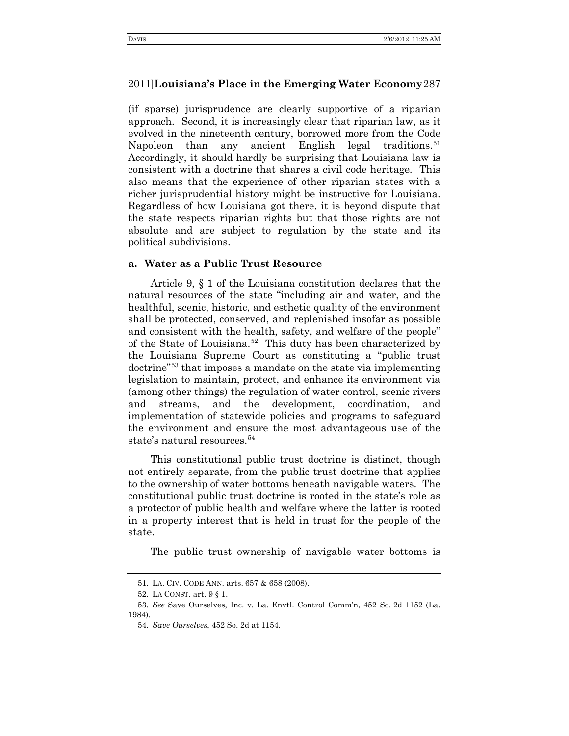(if sparse) jurisprudence are clearly supportive of a riparian approach. Second, it is increasingly clear that riparian law, as it evolved in the nineteenth century, borrowed more from the Code Napoleon than any ancient English legal traditions.<sup>[51](#page-14-0)</sup> Accordingly, it should hardly be surprising that Louisiana law is consistent with a doctrine that shares a civil code heritage. This also means that the experience of other riparian states with a richer jurisprudential history might be instructive for Louisiana. Regardless of how Louisiana got there, it is beyond dispute that the state respects riparian rights but that those rights are not absolute and are subject to regulation by the state and its political subdivisions.

#### **a. Water as a Public Trust Resource**

Article 9, § 1 of the Louisiana constitution declares that the natural resources of the state "including air and water, and the healthful, scenic, historic, and esthetic quality of the environment shall be protected, conserved, and replenished insofar as possible and consistent with the health, safety, and welfare of the people" of the State of Louisiana.<sup>52</sup> This duty has been characterized by the Louisiana Supreme Court as constituting a "public trust doctrine"[53](#page-14-2) that imposes a mandate on the state via implementing legislation to maintain, protect, and enhance its environment via (among other things) the regulation of water control, scenic rivers and streams, and the development, coordination, and implementation of statewide policies and programs to safeguard the environment and ensure the most advantageous use of the state's natural resources.<sup>[54](#page-14-3)</sup>

This constitutional public trust doctrine is distinct, though not entirely separate, from the public trust doctrine that applies to the ownership of water bottoms beneath navigable waters. The constitutional public trust doctrine is rooted in the state's role as a protector of public health and welfare where the latter is rooted in a property interest that is held in trust for the people of the state.

The public trust ownership of navigable water bottoms is

<sup>51.</sup> LA. CIV. CODE ANN. arts. 657 & 658 (2008).

<sup>52.</sup> LA CONST. art. 9 § 1.

<span id="page-14-3"></span><span id="page-14-2"></span><span id="page-14-1"></span><span id="page-14-0"></span><sup>53.</sup> *See* Save Ourselves, Inc. v. La. Envtl. Control Comm'n, 452 So. 2d 1152 (La. 1984).

<sup>54.</sup> *Save Ourselves*, 452 So. 2d at 1154.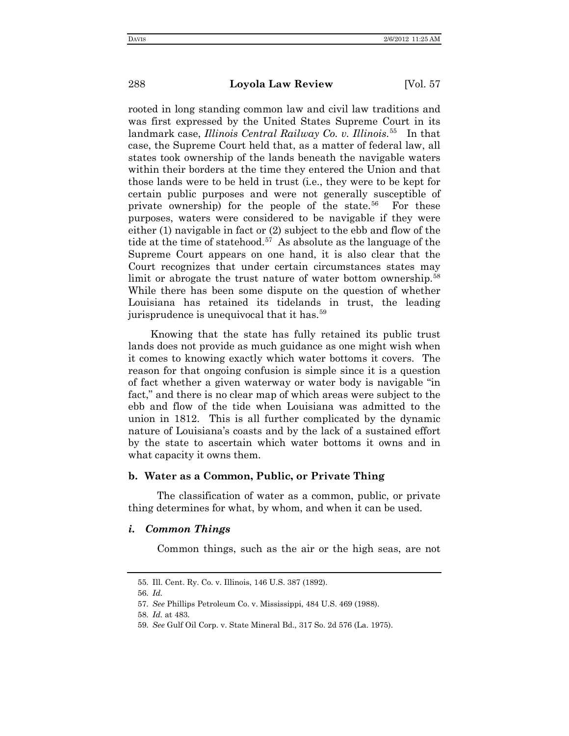rooted in long standing common law and civil law traditions and was first expressed by the United States Supreme Court in its landmark case, *Illinois Central Railway Co. v. Illinois*. [55](#page-15-0) In that case, the Supreme Court held that, as a matter of federal law, all states took ownership of the lands beneath the navigable waters within their borders at the time they entered the Union and that those lands were to be held in trust (i.e., they were to be kept for certain public purposes and were not generally susceptible of private ownership) for the people of the state.<sup>[56](#page-15-1)</sup> For these purposes, waters were considered to be navigable if they were either (1) navigable in fact or (2) subject to the ebb and flow of the tide at the time of statehood.<sup>[57](#page-15-2)</sup> As absolute as the language of the Supreme Court appears on one hand, it is also clear that the Court recognizes that under certain circumstances states may limit or abrogate the trust nature of water bottom ownership.<sup>[58](#page-15-3)</sup> While there has been some dispute on the question of whether Louisiana has retained its tidelands in trust, the leading jurisprudence is unequivocal that it has.<sup>[59](#page-15-4)</sup>

Knowing that the state has fully retained its public trust lands does not provide as much guidance as one might wish when it comes to knowing exactly which water bottoms it covers. The reason for that ongoing confusion is simple since it is a question of fact whether a given waterway or water body is navigable "in fact," and there is no clear map of which areas were subject to the ebb and flow of the tide when Louisiana was admitted to the union in 1812. This is all further complicated by the dynamic nature of Louisiana's coasts and by the lack of a sustained effort by the state to ascertain which water bottoms it owns and in what capacity it owns them.

#### **b. Water as a Common, Public, or Private Thing**

The classification of water as a common, public, or private thing determines for what, by whom, and when it can be used.

#### *i. Common Things*

Common things, such as the air or the high seas, are not

<span id="page-15-0"></span><sup>55.</sup> Ill. Cent. Ry. Co. v. Illinois, 146 U.S. 387 (1892).

<span id="page-15-1"></span><sup>56.</sup> *Id.*

<span id="page-15-3"></span><span id="page-15-2"></span><sup>57.</sup> *See* Phillips Petroleum Co. v. Mississippi, 484 U.S. 469 (1988).

<sup>58.</sup> *Id.* at 483.

<span id="page-15-4"></span><sup>59.</sup> *See* Gulf Oil Corp. v. State Mineral Bd., 317 So. 2d 576 (La. 1975).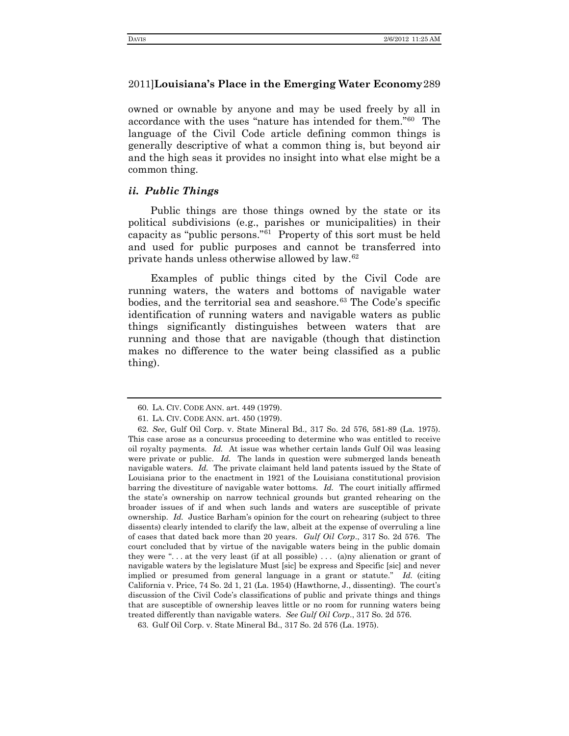owned or ownable by anyone and may be used freely by all in accordance with the uses "nature has intended for them."[60](#page-16-0) The language of the Civil Code article defining common things is generally descriptive of what a common thing is, but beyond air and the high seas it provides no insight into what else might be a common thing.

## *ii. Public Things*

Public things are those things owned by the state or its political subdivisions (e.g., parishes or municipalities) in their capacity as "public persons."[61](#page-16-1) Property of this sort must be held and used for public purposes and cannot be transferred into private hands unless otherwise allowed by law. [62](#page-16-2)

Examples of public things cited by the Civil Code are running waters, the waters and bottoms of navigable water bodies, and the territorial sea and seashore.<sup>[63](#page-16-3)</sup> The Code's specific identification of running waters and navigable waters as public things significantly distinguishes between waters that are running and those that are navigable (though that distinction makes no difference to the water being classified as a public thing).

<sup>60.</sup> LA. CIV. CODE ANN. art. 449 (1979).

<sup>61.</sup> LA. CIV. CODE ANN. art. 450 (1979).

<span id="page-16-2"></span><span id="page-16-1"></span><span id="page-16-0"></span><sup>62.</sup> *See*, Gulf Oil Corp. v. State Mineral Bd., 317 So. 2d 576, 581-89 (La. 1975). This case arose as a concursus proceeding to determine who was entitled to receive oil royalty payments. *Id.* At issue was whether certain lands Gulf Oil was leasing were private or public. *Id.* The lands in question were submerged lands beneath navigable waters. *Id.* The private claimant held land patents issued by the State of Louisiana prior to the enactment in 1921 of the Louisiana constitutional provision barring the divestiture of navigable water bottoms. *Id.* The court initially affirmed the state's ownership on narrow technical grounds but granted rehearing on the broader issues of if and when such lands and waters are susceptible of private ownership. *Id.* Justice Barham's opinion for the court on rehearing (subject to three dissents) clearly intended to clarify the law, albeit at the expense of overruling a line of cases that dated back more than 20 years. *Gulf Oil Corp*., 317 So. 2d 576. The court concluded that by virtue of the navigable waters being in the public domain they were ". . . at the very least (if at all possible) . . . (a)ny alienation or grant of navigable waters by the legislature Must [sic] be express and Specific [sic] and never implied or presumed from general language in a grant or statute." *Id.* (citing California v. Price, 74 So. 2d 1, 21 (La. 1954) (Hawthorne, J., dissenting). The court's discussion of the Civil Code's classifications of public and private things and things that are susceptible of ownership leaves little or no room for running waters being treated differently than navigable waters. *See Gulf Oil Corp*., 317 So. 2d 576.

<span id="page-16-3"></span><sup>63.</sup> Gulf Oil Corp. v. State Mineral Bd., 317 So. 2d 576 (La. 1975).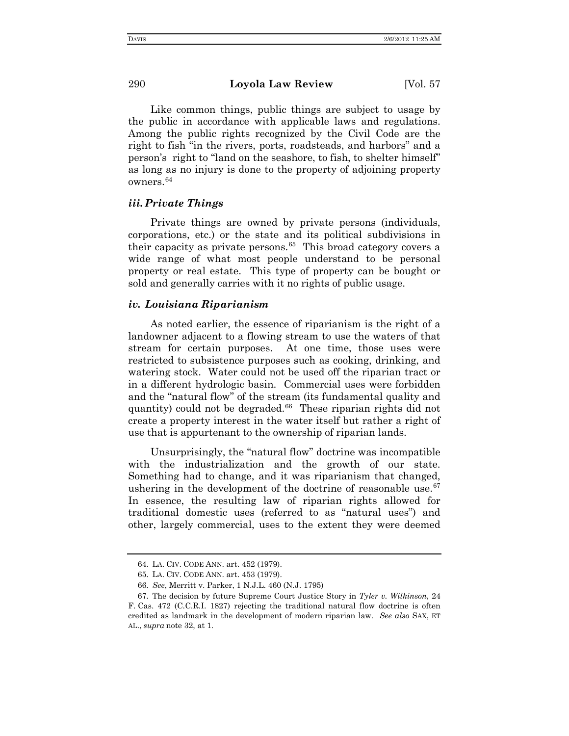Like common things, public things are subject to usage by the public in accordance with applicable laws and regulations. Among the public rights recognized by the Civil Code are the right to fish "in the rivers, ports, roadsteads, and harbors" and a person's right to "land on the seashore, to fish, to shelter himself" as long as no injury is done to the property of adjoining property owners.[64](#page-17-0)

## *iii. Private Things*

Private things are owned by private persons (individuals, corporations, etc.) or the state and its political subdivisions in their capacity as private persons. $65$  This broad category covers a wide range of what most people understand to be personal property or real estate. This type of property can be bought or sold and generally carries with it no rights of public usage.

#### *iv. Louisiana Riparianism*

As noted earlier, the essence of riparianism is the right of a landowner adjacent to a flowing stream to use the waters of that stream for certain purposes. At one time, those uses were restricted to subsistence purposes such as cooking, drinking, and watering stock. Water could not be used off the riparian tract or in a different hydrologic basin. Commercial uses were forbidden and the "natural flow" of the stream (its fundamental quality and quantity) could not be degraded.<sup>66</sup> These riparian rights did not create a property interest in the water itself but rather a right of use that is appurtenant to the ownership of riparian lands.

Unsurprisingly, the "natural flow" doctrine was incompatible with the industrialization and the growth of our state. Something had to change, and it was riparianism that changed, ushering in the development of the doctrine of reasonable use. $67$ In essence, the resulting law of riparian rights allowed for traditional domestic uses (referred to as "natural uses") and other, largely commercial, uses to the extent they were deemed

<sup>64.</sup> LA. CIV. CODE ANN. art. 452 (1979).

<sup>65.</sup> LA. CIV. CODE ANN. art. 453 (1979).

<sup>66.</sup> *See*, Merritt v. Parker, 1 N.J.L. 460 (N.J. 1795)

<span id="page-17-3"></span><span id="page-17-2"></span><span id="page-17-1"></span><span id="page-17-0"></span><sup>67.</sup> The decision by future Supreme Court Justice Story in *Tyler v. Wilkinson*, 24 F. Cas. 472 (C.C.R.I. 1827) rejecting the traditional natural flow doctrine is often credited as landmark in the development of modern riparian law. *See also* SAX, ET AL., *supra* note 32, at 1.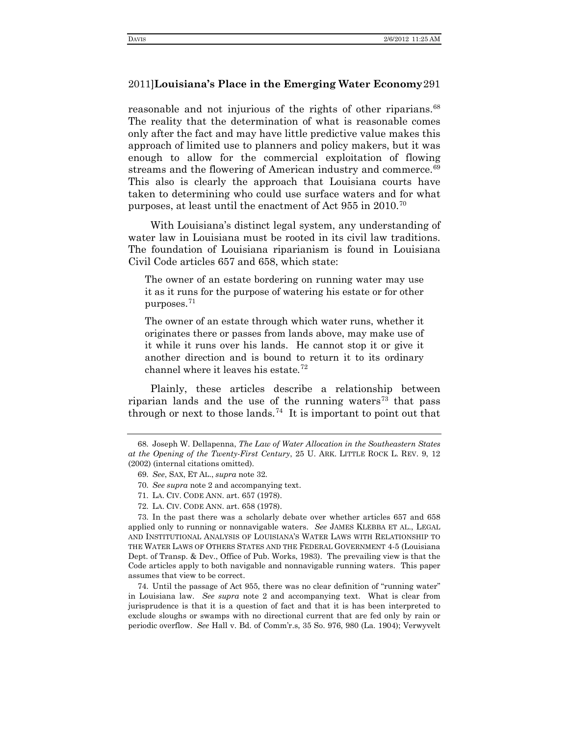reasonable and not injurious of the rights of other riparians.<sup>[68](#page-18-0)</sup> The reality that the determination of what is reasonable comes only after the fact and may have little predictive value makes this approach of limited use to planners and policy makers, but it was enough to allow for the commercial exploitation of flowing streams and the flowering of American industry and commerce.<sup>[69](#page-18-1)</sup> This also is clearly the approach that Louisiana courts have taken to determining who could use surface waters and for what purposes, at least until the enactment of Act 955 in 2010.[70](#page-18-2)

With Louisiana's distinct legal system, any understanding of water law in Louisiana must be rooted in its civil law traditions. The foundation of Louisiana riparianism is found in Louisiana Civil Code articles 657 and 658, which state:

The owner of an estate bordering on running water may use it as it runs for the purpose of watering his estate or for other purposes.[71](#page-18-3)

The owner of an estate through which water runs, whether it originates there or passes from lands above, may make use of it while it runs over his lands. He cannot stop it or give it another direction and is bound to return it to its ordinary channel where it leaves his estate*.* [72](#page-18-4)

Plainly, these articles describe a relationship between riparian lands and the use of the running waters<sup>[73](#page-18-5)</sup> that pass through or next to those lands.<sup>[74](#page-18-6)</sup> It is important to point out that

72. LA. CIV. CODE ANN. art. 658 (1978).

<span id="page-18-5"></span><span id="page-18-4"></span><span id="page-18-3"></span><span id="page-18-2"></span>73. In the past there was a scholarly debate over whether articles 657 and 658 applied only to running or nonnavigable waters. *See* JAMES KLEBBA ET AL., LEGAL AND INSTITUTIONAL ANALYSIS OF LOUISIANA'S WATER LAWS WITH RELATIONSHIP TO THE WATER LAWS OF OTHERS STATES AND THE FEDERAL GOVERNMENT 4-5 (Louisiana Dept. of Transp. & Dev., Office of Pub. Works, 1983). The prevailing view is that the Code articles apply to both navigable and nonnavigable running waters. This paper assumes that view to be correct.

<span id="page-18-6"></span>74. Until the passage of Act 955, there was no clear definition of "running water" in Louisiana law. *See supra* note 2 and accompanying text. What is clear from jurisprudence is that it is a question of fact and that it is has been interpreted to exclude sloughs or swamps with no directional current that are fed only by rain or periodic overflow. *See* Hall v. Bd. of Comm'r.s, 35 So. 976, 980 (La. 1904); Verwyvelt

<span id="page-18-1"></span><span id="page-18-0"></span><sup>68.</sup> Joseph W. Dellapenna, *The Law of Water Allocation in the Southeastern States at the Opening of the Twenty-First Century*, 25 U. ARK. LITTLE ROCK L. REV. 9, 12 (2002) (internal citations omitted).

<sup>69.</sup> *See*, SAX, ET AL., *supra* note 32.

<sup>70.</sup> *See supra* note 2 and accompanying text.

<sup>71.</sup> LA. CIV. CODE ANN. art. 657 (1978).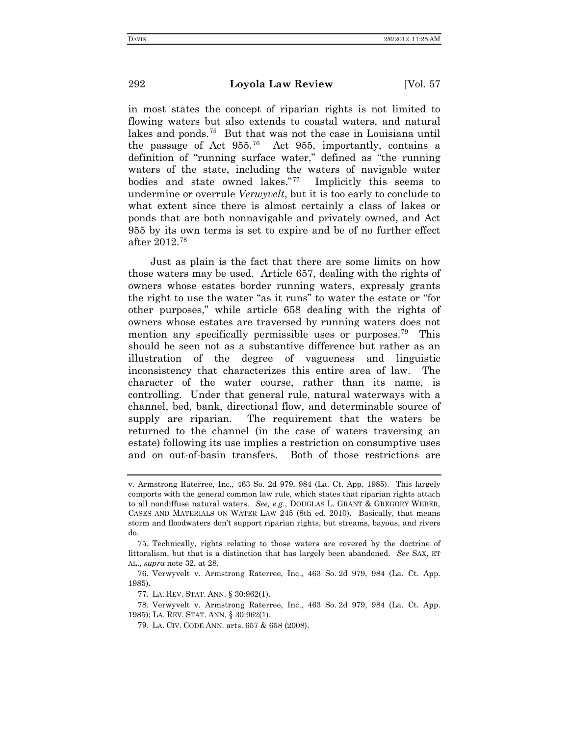in most states the concept of riparian rights is not limited to flowing waters but also extends to coastal waters, and natural lakes and ponds[.75](#page-19-0) But that was not the case in Louisiana until the passage of Act  $955^{76}$  $955^{76}$  $955^{76}$  Act  $955$ , importantly, contains a definition of "running surface water," defined as "the running waters of the state, including the waters of navigable water bodies and state owned lakes."[77](#page-19-2) Implicitly this seems to undermine or overrule *Verwyvelt*, but it is too early to conclude to what extent since there is almost certainly a class of lakes or ponds that are both nonnavigable and privately owned, and Act 955 by its own terms is set to expire and be of no further effect after 2012.[78](#page-19-3)

Just as plain is the fact that there are some limits on how those waters may be used. Article 657, dealing with the rights of owners whose estates border running waters, expressly grants the right to use the water "as it runs" to water the estate or "for other purposes," while article 658 dealing with the rights of owners whose estates are traversed by running waters does not mention any specifically permissible uses or purposes.<sup>[79](#page-19-4)</sup> This should be seen not as a substantive difference but rather as an illustration of the degree of vagueness and linguistic inconsistency that characterizes this entire area of law. The character of the water course, rather than its name, is controlling. Under that general rule, natural waterways with a channel, bed, bank, directional flow, and determinable source of supply are riparian. The requirement that the waters be returned to the channel (in the case of waters traversing an estate) following its use implies a restriction on consumptive uses and on out-of-basin transfers. Both of those restrictions are

v. Armstrong Raterree, Inc., 463 So. 2d 979, 984 (La. Ct. App. 1985). This largely comports with the general common law rule, which states that riparian rights attach to all nondiffuse natural waters. *See, e.g*., DOUGLAS L. GRANT & GREGORY WEBER, CASES AND MATERIALS ON WATER LAW 245 (8th ed. 2010). Basically, that means storm and floodwaters don't support riparian rights, but streams, bayous, and rivers do.

<span id="page-19-0"></span><sup>75.</sup> Technically, rights relating to those waters are covered by the doctrine of littoralism, but that is a distinction that has largely been abandoned. *See* SAX, ET AL., *supra* note 32, at 28.

<span id="page-19-1"></span><sup>76.</sup> Verwyvelt v. Armstrong Raterree, Inc., 463 So. 2d 979, 984 (La. Ct. App. 1985).

<sup>77.</sup> LA. REV. STAT. ANN. § 30:962(1).

<span id="page-19-4"></span><span id="page-19-3"></span><span id="page-19-2"></span><sup>78.</sup> Verwyvelt v. Armstrong Raterree, Inc., 463 So. 2d 979, 984 (La. Ct. App. 1985); LA. REV. STAT. ANN. § 30:962(1).

<sup>79.</sup> LA. CIV. CODE ANN. arts. 657 & 658 (2008).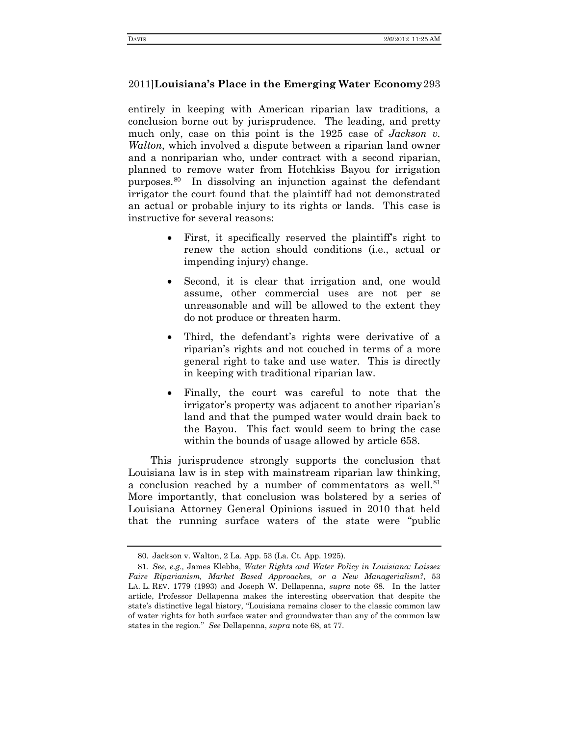entirely in keeping with American riparian law traditions, a conclusion borne out by jurisprudence. The leading, and pretty much only, case on this point is the 1925 case of *Jackson v. Walton*, which involved a dispute between a riparian land owner and a nonriparian who, under contract with a second riparian, planned to remove water from Hotchkiss Bayou for irrigation purposes.[80](#page-20-0) In dissolving an injunction against the defendant irrigator the court found that the plaintiff had not demonstrated an actual or probable injury to its rights or lands. This case is instructive for several reasons:

- First, it specifically reserved the plaintiff's right to renew the action should conditions (i.e., actual or impending injury) change.
- Second, it is clear that irrigation and, one would assume, other commercial uses are not per se unreasonable and will be allowed to the extent they do not produce or threaten harm.
- Third, the defendant's rights were derivative of a riparian's rights and not couched in terms of a more general right to take and use water. This is directly in keeping with traditional riparian law.
- Finally, the court was careful to note that the irrigator's property was adjacent to another riparian's land and that the pumped water would drain back to the Bayou. This fact would seem to bring the case within the bounds of usage allowed by article 658.

This jurisprudence strongly supports the conclusion that Louisiana law is in step with mainstream riparian law thinking, a conclusion reached by a number of commentators as well.<sup>[81](#page-20-1)</sup> More importantly, that conclusion was bolstered by a series of Louisiana Attorney General Opinions issued in 2010 that held that the running surface waters of the state were "public

<sup>80.</sup> Jackson v. Walton, 2 La. App. 53 (La. Ct. App. 1925).

<span id="page-20-1"></span><span id="page-20-0"></span><sup>81</sup>*. See, e.g.,* James Klebba, *Water Rights and Water Policy in Louisiana: Laissez Faire Riparianism, Market Based Approaches, or a New Managerialism?*, 53 LA. L. REV. 1779 (1993) and Joseph W. Dellapenna, *supra* note 68. In the latter article, Professor Dellapenna makes the interesting observation that despite the state's distinctive legal history, "Louisiana remains closer to the classic common law of water rights for both surface water and groundwater than any of the common law states in the region." *See* Dellapenna, *supra* note 68, at 77.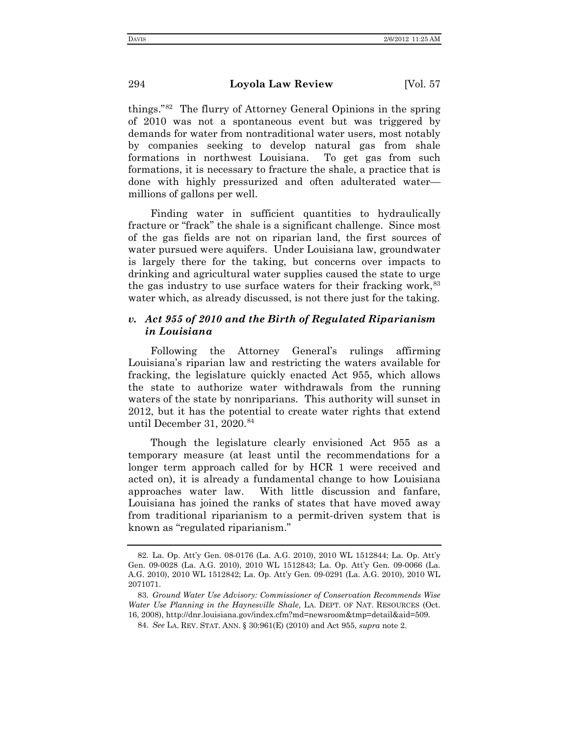things."[82](#page-21-0) The flurry of Attorney General Opinions in the spring of 2010 was not a spontaneous event but was triggered by demands for water from nontraditional water users, most notably by companies seeking to develop natural gas from shale formations in northwest Louisiana. To get gas from such formations, it is necessary to fracture the shale, a practice that is done with highly pressurized and often adulterated water millions of gallons per well.

Finding water in sufficient quantities to hydraulically fracture or "frack" the shale is a significant challenge. Since most of the gas fields are not on riparian land, the first sources of water pursued were aquifers. Under Louisiana law, groundwater is largely there for the taking, but concerns over impacts to drinking and agricultural water supplies caused the state to urge the gas industry to use surface waters for their fracking work,  $83$ water which, as already discussed, is not there just for the taking.

# *v. Act 955 of 2010 and the Birth of Regulated Riparianism in Louisiana*

Following the Attorney General's rulings affirming Louisiana's riparian law and restricting the waters available for fracking, the legislature quickly enacted Act 955, which allows the state to authorize water withdrawals from the running waters of the state by nonriparians. This authority will sunset in 2012, but it has the potential to create water rights that extend until December 31, 2020. [84](#page-21-2)

Though the legislature clearly envisioned Act 955 as a temporary measure (at least until the recommendations for a longer term approach called for by HCR 1 were received and acted on), it is already a fundamental change to how Louisiana approaches water law. With little discussion and fanfare, Louisiana has joined the ranks of states that have moved away from traditional riparianism to a permit-driven system that is known as "regulated riparianism."

<span id="page-21-0"></span><sup>82.</sup> La. Op. Att'y Gen. 08-0176 (La. A.G. 2010), 2010 WL 1512844; La. Op. Att'y Gen. 09-0028 (La. A.G. 2010), 2010 WL 1512843; La. Op. Att'y Gen. 09-0066 (La. A.G. 2010), 2010 WL 1512842; La. Op. Att'y Gen. 09-0291 (La. A.G. 2010), 2010 WL 2071071.

<span id="page-21-2"></span><span id="page-21-1"></span><sup>83.</sup> *Ground Water Use Advisory: Commissioner of Conservation Recommends Wise Water Use Planning in the Haynesville Shale*, LA. DEPT. OF NAT. RESOURCES (Oct. 16, 2008), http://dnr.louisiana.gov/index.cfm?md=newsroom&tmp=detail&aid=509.

<sup>84.</sup> *See* LA. REV. STAT. ANN. § 30:961(E) (2010) and Act 955, *supra* note 2.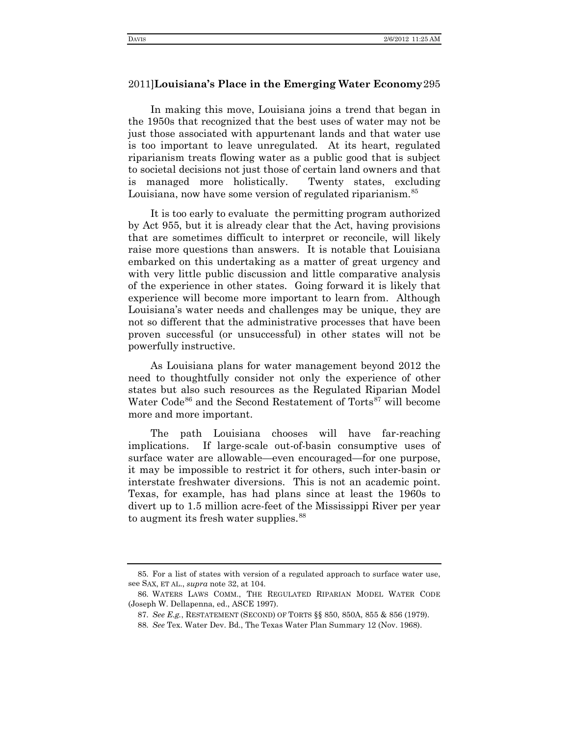In making this move, Louisiana joins a trend that began in the 1950s that recognized that the best uses of water may not be just those associated with appurtenant lands and that water use is too important to leave unregulated. At its heart, regulated riparianism treats flowing water as a public good that is subject to societal decisions not just those of certain land owners and that is managed more holistically. Twenty states, excluding Louisiana, now have some version of regulated riparianism.<sup>[85](#page-22-0)</sup>

It is too early to evaluate the permitting program authorized by Act 955, but it is already clear that the Act, having provisions that are sometimes difficult to interpret or reconcile, will likely raise more questions than answers. It is notable that Louisiana embarked on this undertaking as a matter of great urgency and with very little public discussion and little comparative analysis of the experience in other states. Going forward it is likely that experience will become more important to learn from. Although Louisiana's water needs and challenges may be unique, they are not so different that the administrative processes that have been proven successful (or unsuccessful) in other states will not be powerfully instructive.

As Louisiana plans for water management beyond 2012 the need to thoughtfully consider not only the experience of other states but also such resources as the Regulated Riparian Model Water Code<sup>[86](#page-22-1)</sup> and the Second Restatement of Torts<sup>87</sup> will become more and more important.

The path Louisiana chooses will have far-reaching implications. If large-scale out-of-basin consumptive uses of surface water are allowable—even encouraged—for one purpose, it may be impossible to restrict it for others, such inter-basin or interstate freshwater diversions. This is not an academic point. Texas, for example, has had plans since at least the 1960s to divert up to 1.5 million acre-feet of the Mississippi River per year to augment its fresh water supplies.<sup>[88](#page-22-3)</sup>

<span id="page-22-0"></span><sup>85.</sup> For a list of states with version of a regulated approach to surface water use, see SAX, ET AL., *supra* note 32, at 104.

<span id="page-22-3"></span><span id="page-22-2"></span><span id="page-22-1"></span><sup>86.</sup> WATERS LAWS COMM., THE REGULATED RIPARIAN MODEL WATER CODE (Joseph W. Dellapenna, ed., ASCE 1997).

<sup>87.</sup> *See E.g.*, RESTATEMENT (SECOND) OF TORTS §§ 850, 850A, 855 & 856 (1979).

<sup>88.</sup> *See* Tex. Water Dev. Bd., The Texas Water Plan Summary 12 (Nov. 1968).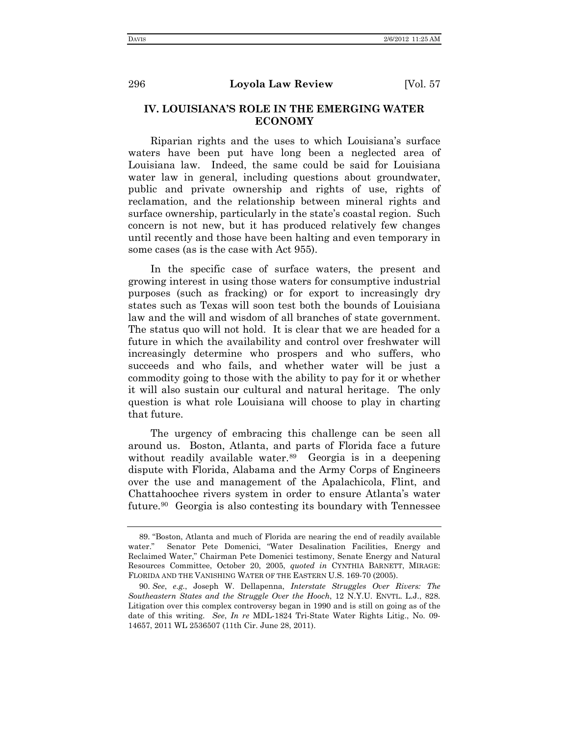# **IV. LOUISIANA'S ROLE IN THE EMERGING WATER ECONOMY**

Riparian rights and the uses to which Louisiana's surface waters have been put have long been a neglected area of Louisiana law. Indeed, the same could be said for Louisiana water law in general, including questions about groundwater, public and private ownership and rights of use, rights of reclamation, and the relationship between mineral rights and surface ownership, particularly in the state's coastal region. Such concern is not new, but it has produced relatively few changes until recently and those have been halting and even temporary in some cases (as is the case with Act 955).

In the specific case of surface waters, the present and growing interest in using those waters for consumptive industrial purposes (such as fracking) or for export to increasingly dry states such as Texas will soon test both the bounds of Louisiana law and the will and wisdom of all branches of state government. The status quo will not hold. It is clear that we are headed for a future in which the availability and control over freshwater will increasingly determine who prospers and who suffers, who succeeds and who fails, and whether water will be just a commodity going to those with the ability to pay for it or whether it will also sustain our cultural and natural heritage. The only question is what role Louisiana will choose to play in charting that future.

The urgency of embracing this challenge can be seen all around us. Boston, Atlanta, and parts of Florida face a future without readily available water.<sup>[89](#page-23-0)</sup> Georgia is in a deepening dispute with Florida, Alabama and the Army Corps of Engineers over the use and management of the Apalachicola, Flint, and Chattahoochee rivers system in order to ensure Atlanta's water future.[90](#page-23-1) Georgia is also contesting its boundary with Tennessee

<span id="page-23-0"></span> <sup>89.</sup> "Boston, Atlanta and much of Florida are nearing the end of readily available water." Senator Pete Domenici, "Water Desalination Facilities, Energy and Reclaimed Water," Chairman Pete Domenici testimony, Senate Energy and Natural Resources Committee, October 20, 2005, *quoted in* CYNTHIA BARNETT, MIRAGE: FLORIDA AND THE VANISHING WATER OF THE EASTERN U.S. 169-70 (2005).

<span id="page-23-1"></span> <sup>90.</sup> *See*, *e.g.*, Joseph W. Dellapenna, *Interstate Struggles Over Rivers: The Southeastern States and the Struggle Over the Hooch*, 12 N.Y.U. ENVTL. L.J., 828. Litigation over this complex controversy began in 1990 and is still on going as of the date of this writing. *See*, *In re* MDL-1824 Tri-State Water Rights Litig., No. 09- 14657, 2011 WL 2536507 (11th Cir. June 28, 2011).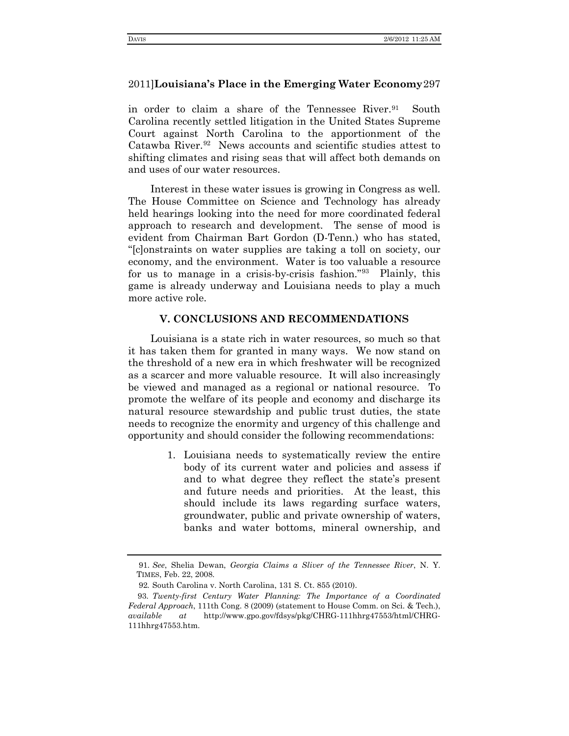in order to claim a share of the Tennessee River.<sup>[91](#page-24-0)</sup> South Carolina recently settled litigation in the United States Supreme Court against North Carolina to the apportionment of the Catawba River.<sup>92</sup> News accounts and scientific studies attest to shifting climates and rising seas that will affect both demands on and uses of our water resources.

Interest in these water issues is growing in Congress as well. The House Committee on Science and Technology has already held hearings looking into the need for more coordinated federal approach to research and development. The sense of mood is evident from Chairman Bart Gordon (D-Tenn.) who has stated, "[c]onstraints on water supplies are taking a toll on society, our economy, and the environment. Water is too valuable a resource for us to manage in a crisis-by-crisis fashion.["93](#page-24-2) Plainly, this game is already underway and Louisiana needs to play a much more active role.

## **V. CONCLUSIONS AND RECOMMENDATIONS**

Louisiana is a state rich in water resources, so much so that it has taken them for granted in many ways. We now stand on the threshold of a new era in which freshwater will be recognized as a scarcer and more valuable resource. It will also increasingly be viewed and managed as a regional or national resource. To promote the welfare of its people and economy and discharge its natural resource stewardship and public trust duties, the state needs to recognize the enormity and urgency of this challenge and opportunity and should consider the following recommendations:

> 1. Louisiana needs to systematically review the entire body of its current water and policies and assess if and to what degree they reflect the state's present and future needs and priorities. At the least, this should include its laws regarding surface waters, groundwater, public and private ownership of waters, banks and water bottoms, mineral ownership, and

<sup>91.</sup> *See*, Shelia Dewan, *Georgia Claims a Sliver of the Tennessee River*, N. Y. TIMES, Feb. 22, 2008.

<sup>92</sup>*.* South Carolina v. North Carolina, 131 S. Ct. 855 (2010).

<span id="page-24-2"></span><span id="page-24-1"></span><span id="page-24-0"></span><sup>93.</sup> *Twenty-first Century Water Planning: The Importance of a Coordinated Federal Approach*, 111th Cong. 8 (2009) (statement to House Comm. on Sci. & Tech.), *available at* http://www.gpo.gov/fdsys/pkg/CHRG-111hhrg47553/html/CHRG-111hhrg47553.htm.